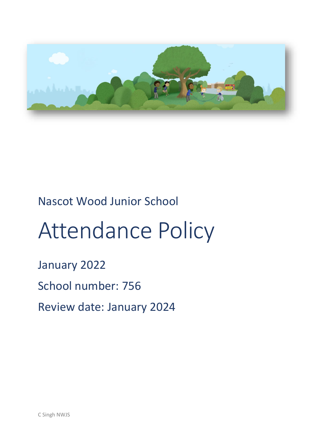

# Nascot Wood Junior School

# Attendance Policy

# January 2022

# School number: 756

Review date: January 2024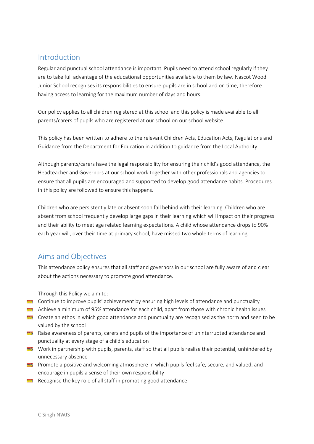## Introduction

Regular and punctual school attendance is important. Pupils need to attend school regularly if they are to take full advantage of the educational opportunities available to them by law. Nascot Wood Junior School recognises its responsibilities to ensure pupils are in school and on time, therefore having access to learning for the maximum number of days and hours.

Our policy applies to all children registered at this school and this policy is made available to all parents/carers of pupils who are registered at our school on our school website.

This policy has been written to adhere to the relevant Children Acts, Education Acts, Regulations and Guidance from the Department for Education in addition to guidance from the Local Authority.

Although parents/carers have the legal responsibility for ensuring their child's good attendance, the Headteacher and Governors at our school work together with other professionals and agencies to ensure that all pupils are encouraged and supported to develop good attendance habits. Procedures in this policy are followed to ensure this happens.

Children who are persistently late or absent soon fall behind with their learning .Children who are absent from school frequently develop large gaps in their learning which will impact on their progress and their ability to meet age related learning expectations. A child whose attendance drops to 90% each year will, over their time at primary school, have missed two whole terms of learning.

# Aims and Objectives

This attendance policy ensures that all staff and governors in our school are fully aware of and clear about the actions necessary to promote good attendance.

Through this Policy we aim to:

- **EX** Continue to improve pupils' achievement by ensuring high levels of attendance and punctuality
- Achieve a minimum of 95% attendance for each child, apart from those with chronic health issues
- **EX** Create an ethos in which good attendance and punctuality are recognised as the norm and seen to be valued by the school
- Raise awareness of parents, carers and pupils of the importance of uninterrupted attendance and punctuality at every stage of a child's education
- Work in partnership with pupils, parents, staff so that all pupils realise their potential, unhindered by unnecessary absence
- **Promote a positive and welcoming atmosphere in which pupils feel safe, secure, and valued, and** encourage in pupils a sense of their own responsibility
- $R<sub>2</sub>$  Recognise the key role of all staff in promoting good attendance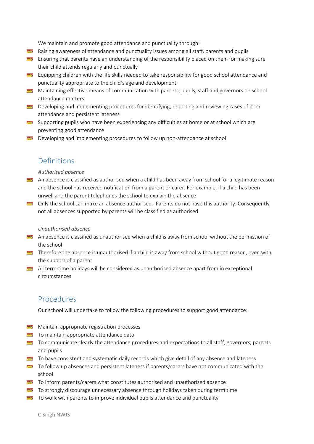We maintain and promote good attendance and punctuality through:

- Raising awareness of attendance and punctuality issues among all staff, parents and pupils
- **EX** Ensuring that parents have an understanding of the responsibility placed on them for making sure their child attends regularly and punctually
- E Equipping children with the life skills needed to take responsibility for good school attendance and punctuality appropriate to the child's age and development
- **Maintaining effective means of communication with parents, pupils, staff and governors on school** attendance matters
- **Developing and implementing procedures for identifying, reporting and reviewing cases of poor** attendance and persistent lateness
- Supporting pupils who have been experiencing any difficulties at home or at school which are preventing good attendance
- **Developing and implementing procedures to follow up non-attendance at school**

## Definitions

#### *Authorised absence*

- **An absence is classified as authorised when a child has been away from school for a legitimate reason** and the school has received notification from a parent or carer. For example, if a child has been unwell and the parent telephones the school to explain the absence
- Only the school can make an absence authorised. Parents do not have this authority. Consequently not all absences supported by parents will be classified as authorised

#### *Unauthorised absence*

- **An absence is classified as unauthorised when a child is away from school without the permission of** the school
- **Therefore the absence is unauthorised if a child is away from school without good reason, even with** the support of a parent
- All term-time holidays will be considered as unauthorised absence apart from in exceptional circumstances

# Procedures

Our school will undertake to follow the following procedures to support good attendance:

- **Maintain appropriate registration processes**
- **To maintain appropriate attendance data**
- To communicate clearly the attendance procedures and expectations to all staff, governors, parents and pupils
- To have consistent and systematic daily records which give detail of any absence and lateness
- To follow up absences and persistent lateness if parents/carers have not communicated with the school
- To inform parents/carers what constitutes authorised and unauthorised absence
- $\blacksquare$  To strongly discourage unnecessary absence through holidays taken during term time
- $\Box$  To work with parents to improve individual pupils attendance and punctuality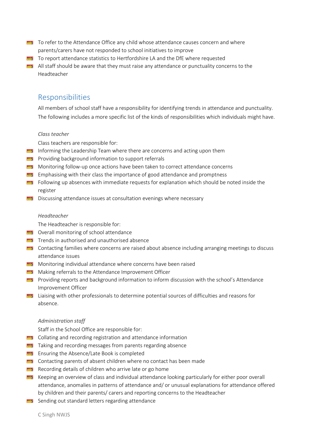- To refer to the Attendance Office any child whose attendance causes concern and where parents/carers have not responded to school initiatives to improve
- To report attendance statistics to Hertfordshire LA and the DfE where requested
- All staff should be aware that they must raise any attendance or punctuality concerns to the Headteacher

## Responsibilities

All members of school staff have a responsibility for identifying trends in attendance and punctuality. The following includes a more specific list of the kinds of responsibilities which individuals might have.

#### *Class teacher*

Class teachers are responsible for:

- **EF** Informing the Leadership Team where there are concerns and acting upon them
- **Providing background information to support referrals**
- **Monitoring follow-up once actions have been taken to correct attendance concerns**
- **EM** Emphasising with their class the importance of good attendance and promptness
- Following up absences with immediate requests for explanation which should be noted inside the register
- $\Box$  Discussing attendance issues at consultation evenings where necessary

#### *Headteacher*

The Headteacher is responsible for:

- **Example 20 Service 10 Service 20 Service 20 Service 20 Service 20 Service 20 Service 20 Service 20 Service 20 S**
- **THE Trends in authorised and unauthorised absence**
- **EX** Contacting families where concerns are raised about absence including arranging meetings to discuss attendance issues
- **EX** Monitoring individual attendance where concerns have been raised
- **EX** Making referrals to the Attendance Improvement Officer
- **Providing reports and background information to inform discussion with the school's Attendance** Improvement Officer
- Liaising with other professionals to determine potential sources of difficulties and reasons for absence.

#### *Administration staff*

Staff in the School Office are responsible for:

- **EX** Collating and recording registration and attendance information
- **TEST** Taking and recording messages from parents regarding absence
- **Example 1** Ensuring the Absence/Late Book is completed
- **EX** Contacting parents of absent children where no contact has been made
- **Recording details of children who arrive late or go home**
- Keeping an overview of class and individual attendance looking particularly for either poor overall attendance, anomalies in patterns of attendance and/ or unusual explanations for attendance offered by children and their parents/ carers and reporting concerns to the Headteacher
- Sending out standard letters regarding attendance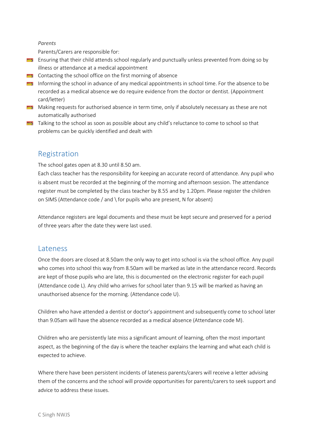#### *Parents*

Parents/Carers are responsible for:

- **EX** Ensuring that their child attends school regularly and punctually unless prevented from doing so by illness or attendance at a medical appointment
- **EX** Contacting the school office on the first morning of absence
- Informing the school in advance of any medical appointments in school time. For the absence to be recorded as a medical absence we do require evidence from the doctor or dentist. (Appointment card/letter)
- Making requests for authorised absence in term time, only if absolutely necessary as these are not automatically authorised
- Talking to the school as soon as possible about any child's reluctance to come to school so that problems can be quickly identified and dealt with

# Registration

The school gates open at 8.30 until 8.50 am.

Each class teacher has the responsibility for keeping an accurate record of attendance. Any pupil who is absent must be recorded at the beginning of the morning and afternoon session. The attendance register must be completed by the class teacher by 8.55 and by 1.20pm. Please register the children on SIMS (Attendance code / and \ for pupils who are present, N for absent)

Attendance registers are legal documents and these must be kept secure and preserved for a period of three years after the date they were last used.

### **Lateness**

Once the doors are closed at 8.50am the only way to get into school is via the school office. Any pupil who comes into school this way from 8.50am will be marked as late in the attendance record. Records are kept of those pupils who are late, this is documented on the electronic register for each pupil (Attendance code L). Any child who arrives for school later than 9.15 will be marked as having an unauthorised absence for the morning. (Attendance code U).

Children who have attended a dentist or doctor's appointment and subsequently come to school later than 9.05am will have the absence recorded as a medical absence (Attendance code M).

Children who are persistently late miss a significant amount of learning, often the most important aspect, as the beginning of the day is where the teacher explains the learning and what each child is expected to achieve.

Where there have been persistent incidents of lateness parents/carers will receive a letter advising them of the concerns and the school will provide opportunities for parents/carers to seek support and advice to address these issues.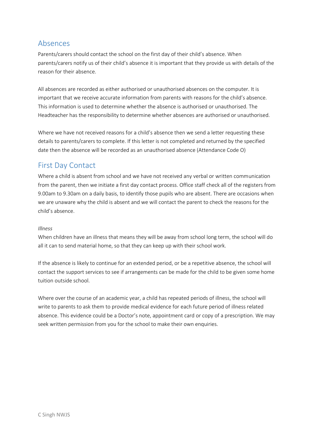# Absences

Parents/carers should contact the school on the first day of their child's absence. When parents/carers notify us of their child's absence it is important that they provide us with details of the reason for their absence.

All absences are recorded as either authorised or unauthorised absences on the computer. It is important that we receive accurate information from parents with reasons for the child's absence. This information is used to determine whether the absence is authorised or unauthorised. The Headteacher has the responsibility to determine whether absences are authorised or unauthorised.

Where we have not received reasons for a child's absence then we send a letter requesting these details to parents/carers to complete. If this letter is not completed and returned by the specified date then the absence will be recorded as an unauthorised absence (Attendance Code O)

# First Day Contact

Where a child is absent from school and we have not received any verbal or written communication from the parent, then we initiate a first day contact process. Office staff check all of the registers from 9.00am to 9.30am on a daily basis, to identify those pupils who are absent. There are occasions when we are unaware why the child is absent and we will contact the parent to check the reasons for the child's absence.

#### *Illness*

When children have an illness that means they will be away from school long term, the school will do all it can to send material home, so that they can keep up with their school work.

If the absence is likely to continue for an extended period, or be a repetitive absence, the school will contact the support services to see if arrangements can be made for the child to be given some home tuition outside school.

Where over the course of an academic year, a child has repeated periods of illness, the school will write to parents to ask them to provide medical evidence for each future period of illness related absence. This evidence could be a Doctor's note, appointment card or copy of a prescription. We may seek written permission from you for the school to make their own enquiries.